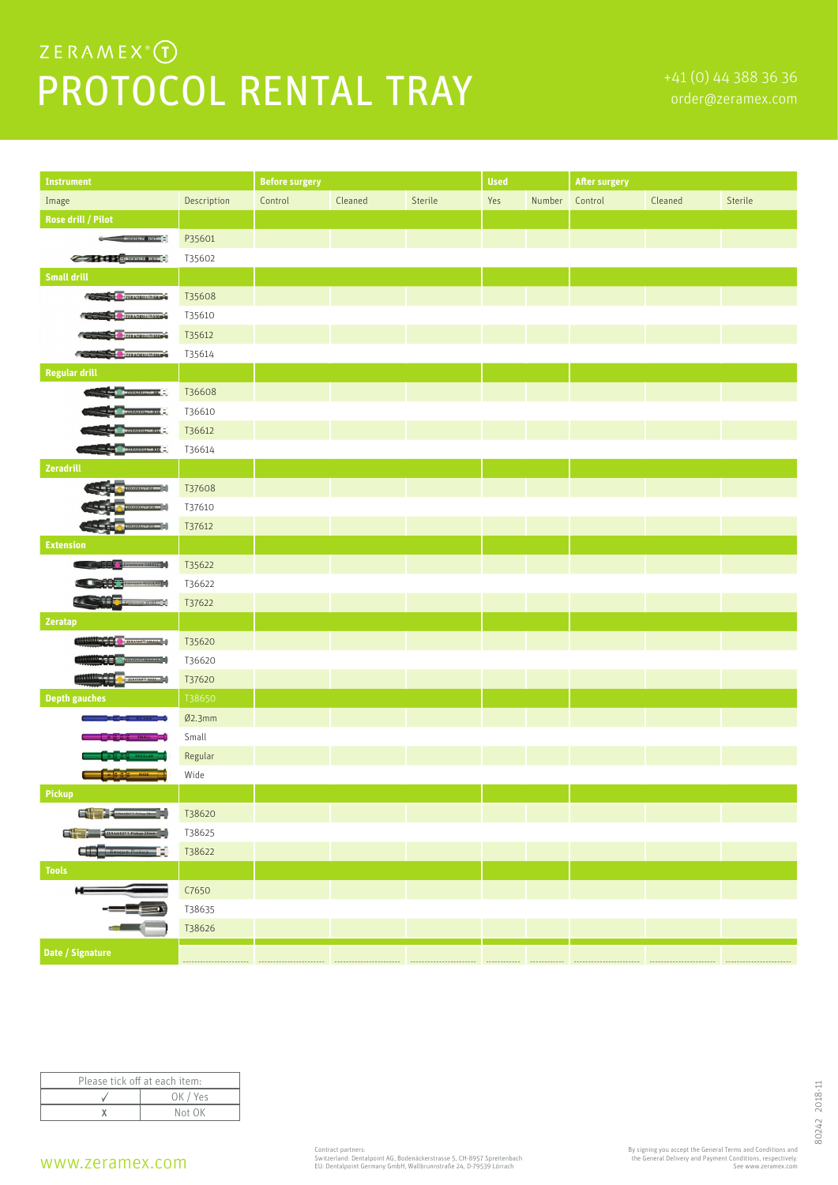## $ZERAMEX^{\circ}(\mathbf{I})$ PROTOCOL RENTAL TRAY **FALL TRAY**

| <b>Instrument</b>                                                                                                                                                                                                                    |                  | <b>Before surgery</b> |         |         | <b>Used</b> |                | <b>After surgery</b> |         |         |
|--------------------------------------------------------------------------------------------------------------------------------------------------------------------------------------------------------------------------------------|------------------|-----------------------|---------|---------|-------------|----------------|----------------------|---------|---------|
| Image                                                                                                                                                                                                                                | Description      | Control               | Cleaned | Sterile | Yes         | Number Control |                      | Cleaned | Sterile |
| <b>Rose drill / Pilot</b>                                                                                                                                                                                                            |                  |                       |         |         |             |                |                      |         |         |
| ÷                                                                                                                                                                                                                                    | P35601           |                       |         |         |             |                |                      |         |         |
| <b>Contract of the Communication of the Second Second Second Second Second Second Second Second Second Second Second Second Second Second Second Second Second Second Second Second Second Second Second Second Second Second Se</b> | T35602           |                       |         |         |             |                |                      |         |         |
| <b>Small drill</b>                                                                                                                                                                                                                   |                  |                       |         |         |             |                |                      |         |         |
| ZERADRILL <sup>IN</sup> SR. PT                                                                                                                                                                                                       | T35608           |                       |         |         |             |                |                      |         |         |
| ZERADRILL <sup>IN</sup> S10                                                                                                                                                                                                          | T35610           |                       |         |         |             |                |                      |         |         |
| ZERADRILLINS12                                                                                                                                                                                                                       | T35612           |                       |         |         |             |                |                      |         |         |
| <b>THE REAL PROPERTY AND INCOME.</b>                                                                                                                                                                                                 | T35614           |                       |         |         |             |                |                      |         |         |
| <b>Regular drill</b>                                                                                                                                                                                                                 |                  |                       |         |         |             |                |                      |         |         |
| <b>Operation comes</b>                                                                                                                                                                                                               | T36608           |                       |         |         |             |                |                      |         |         |
| 432.1031111111310                                                                                                                                                                                                                    | T36610           |                       |         |         |             |                |                      |         |         |
| 8840811111212                                                                                                                                                                                                                        | T36612           |                       |         |         |             |                |                      |         |         |
| ziszozittinista <b>z</b>                                                                                                                                                                                                             | T36614           |                       |         |         |             |                |                      |         |         |
| Zeradrill                                                                                                                                                                                                                            |                  |                       |         |         |             |                |                      |         |         |
| $\frac{1}{2}$                                                                                                                                                                                                                        | T37608           |                       |         |         |             |                |                      |         |         |
| $\frac{1}{2}$                                                                                                                                                                                                                        | T37610           |                       |         |         |             |                |                      |         |         |
| $\frac{1}{2}$                                                                                                                                                                                                                        | T37612           |                       |         |         |             |                |                      |         |         |
| <b>Extension</b>                                                                                                                                                                                                                     |                  |                       |         |         |             |                |                      |         |         |
| <b>T</b> Extension SMALL                                                                                                                                                                                                             | T35622           |                       |         |         |             |                |                      |         |         |
| <b>DE TENION REGULAR T</b>                                                                                                                                                                                                           | T36622           |                       |         |         |             |                |                      |         |         |
| $\begin{pmatrix} 1 & 0 \\ 0 & 0 \end{pmatrix}$ extension WIDE $\begin{pmatrix} 1 \\ 0 \end{pmatrix}$<br>$\overline{\phantom{a}}$                                                                                                     | T37622           |                       |         |         |             |                |                      |         |         |
| Zeratap                                                                                                                                                                                                                              |                  |                       |         |         |             |                |                      |         |         |
| <b>Republikans Colombia</b><br>ZERATAP <sup>TA</sup> SMALL                                                                                                                                                                           | T35620           |                       |         |         |             |                |                      |         |         |
| <b>REARANT REGULAR<sup>T</sup></b>                                                                                                                                                                                                   | T36620           |                       |         |         |             |                |                      |         |         |
| ZERATAP <sup>te</sup> WIDE                                                                                                                                                                                                           | T37620           |                       |         |         |             |                |                      |         |         |
| <b>Depth gauches</b>                                                                                                                                                                                                                 | T38650           |                       |         |         |             |                |                      |         |         |
|                                                                                                                                                                                                                                      | Ø2.3mm           |                       |         |         |             |                |                      |         |         |
| $377$ small $-$                                                                                                                                                                                                                      | Small            |                       |         |         |             |                |                      |         |         |
| S C & REGULAR                                                                                                                                                                                                                        | Regular          |                       |         |         |             |                |                      |         |         |
| anw 55<br>Pickup                                                                                                                                                                                                                     | Wide             |                       |         |         |             |                |                      |         |         |
| $\Box$ . The contract $\mathcal{L}_{\text{max}}$                                                                                                                                                                                     |                  |                       |         |         |             |                |                      |         |         |
|                                                                                                                                                                                                                                      | T38620<br>T38625 |                       |         |         |             |                |                      |         |         |
| ZERAMEX <sup>6</sup> T Pickup 25mm<br>æ<br>cue Pickup <b>- 2</b>                                                                                                                                                                     |                  |                       |         |         |             |                |                      |         |         |
| <b>Tools</b>                                                                                                                                                                                                                         | T38622           |                       |         |         |             |                |                      |         |         |
| н                                                                                                                                                                                                                                    | C7650            |                       |         |         |             |                |                      |         |         |
|                                                                                                                                                                                                                                      | T38635           |                       |         |         |             |                |                      |         |         |
|                                                                                                                                                                                                                                      | T38626           |                       |         |         |             |                |                      |         |         |
|                                                                                                                                                                                                                                      |                  |                       |         |         |             |                |                      |         |         |
| Date / Signature                                                                                                                                                                                                                     |                  |                       |         |         |             |                |                      |         |         |

| Please tick off at each item: |          |  |  |  |
|-------------------------------|----------|--|--|--|
|                               | OK / Yes |  |  |  |
|                               | Not OK   |  |  |  |